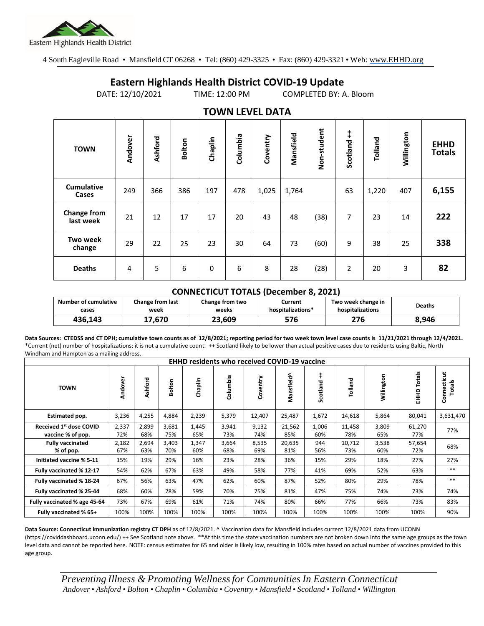

4 South Eagleville Road • Mansfield CT 06268 • Tel: (860) 429-3325 • Fax: (860) 429-3321 • Web: www.EHHD.org

## **Eastern Highlands Health District COVID-19 Update**

DATE: 12/10/2021 TIME: 12:00 PM COMPLETED BY: A. Bloom

| $19001$ is the set $271$   |                |         |               |         |          |          |           |             |                |         |            |                              |
|----------------------------|----------------|---------|---------------|---------|----------|----------|-----------|-------------|----------------|---------|------------|------------------------------|
| <b>TOWN</b>                | Andover        | Ashford | <b>Bolton</b> | Chaplin | Columbia | Coventry | Mansfield | Non-student | Scotland ++    | Tolland | Willington | <b>EHHD</b><br><b>Totals</b> |
| <b>Cumulative</b><br>Cases | 249            | 366     | 386           | 197     | 478      | 1,025    | 1,764     |             | 63             | 1,220   | 407        | 6,155                        |
| Change from<br>last week   | 21             | 12      | 17            | 17      | 20       | 43       | 48        | (38)        | 7              | 23      | 14         | 222                          |
| <b>Two week</b><br>change  | 29             | 22      | 25            | 23      | 30       | 64       | 73        | (60)        | 9              | 38      | 25         | 338                          |
| <b>Deaths</b>              | $\overline{4}$ | 5       | 6             | 0       | 6        | 8        | 28        | (28)        | $\overline{2}$ | 20      | 3          | 82                           |

## **TOWN LEVEL DATA**

## **CONNECTICUT TOTALS (December 8, 2021)**

| Number of cumulative | Change from last | <b>Change from two</b> | Current           | Two week change in | <b>Deaths</b> |  |
|----------------------|------------------|------------------------|-------------------|--------------------|---------------|--|
| cases                | week             | weeks                  | hospitalizations* | hospitalizations   |               |  |
| 436.143              | 17.670           | 23.609                 | 576               | 276                | 8,946         |  |

**Data Sources: CTEDSS and CT DPH; cumulative town counts as of 12/8/2021; reporting period for two week town level case counts is 11/21/2021 through 12/4/2021.** \*Current (net) number of hospitalizations; it is not a cumulative count. ++ Scotland likely to be lower than actual positive cases due to residents using Baltic, North Windham and Hampton as a mailing address.

| <b>EHHD residents who received COVID-19 vaccine</b> |              |              |              |              |              |              |               |                        |               |              |                  |                       |
|-----------------------------------------------------|--------------|--------------|--------------|--------------|--------------|--------------|---------------|------------------------|---------------|--------------|------------------|-----------------------|
| <b>TOWN</b>                                         | Andover      | Ashford      | Bolton       | Chaplin      | Columbia     | Coventry     | Mansfield^    | $\ddagger$<br>Scotland | Tolland       | Willington   | Totals<br>요<br>표 | Connecticut<br>Totals |
| Estimated pop.                                      | 3,236        | 4,255        | 4,884        | 2,239        | 5,379        | 12,407       | 25,487        | 1,672                  | 14,618        | 5,864        | 80,041           | 3,631,470             |
| Received 1st dose COVID<br>vaccine % of pop.        | 2,337<br>72% | 2,899<br>68% | 3,681<br>75% | 1,445<br>65% | 3,941<br>73% | 9,132<br>74% | 21,562<br>85% | 1,006<br>60%           | 11,458<br>78% | 3,809<br>65% | 61,270<br>77%    | 77%                   |
| <b>Fully vaccinated</b><br>% of pop.                | 2,182<br>67% | 2,694<br>63% | 3,403<br>70% | 1,347<br>60% | 3,664<br>68% | 8,535<br>69% | 20,635<br>81% | 944<br>56%             | 10,712<br>73% | 3,538<br>60% | 57,654<br>72%    | 68%                   |
| Initiated vaccine % 5-11                            | 15%          | 19%          | 29%          | 16%          | 23%          | 28%          | 36%           | 15%                    | 29%           | 18%          | 27%              | 27%                   |
| Fully vaccinated % 12-17                            | 54%          | 62%          | 67%          | 63%          | 49%          | 58%          | 77%           | 41%                    | 69%           | 52%          | 63%              | $***$                 |
| Fully vaccinated % 18-24                            | 67%          | 56%          | 63%          | 47%          | 62%          | 60%          | 87%           | 52%                    | 80%           | 29%          | 78%              | $***$                 |
| Fully vaccinated % 25-44                            | 68%          | 60%          | 78%          | 59%          | 70%          | 75%          | 81%           | 47%                    | 75%           | 74%          | 73%              | 74%                   |
| Fully vaccinated % age 45-64                        | 73%          | 67%          | 69%          | 61%          | 71%          | 74%          | 80%           | 66%                    | 77%           | 66%          | 73%              | 83%                   |
| Fully vaccinated % 65+                              | 100%         | 100%         | 100%         | 100%         | 100%         | 100%         | 100%          | 100%                   | 100%          | 100%         | 100%             | 90%                   |

**Data Source: Connecticut immunization registry CT DPH** as of 12/8/2021. ^ Vaccination data for Mansfield includes current 12/8/2021 data from UCONN (https://coviddashboard.uconn.edu/) ++ See Scotland note above. \*\*At this time the state vaccination numbers are not broken down into the same age groups as the town level data and cannot be reported here. NOTE: census estimates for 65 and older is likely low, resulting in 100% rates based on actual number of vaccines provided to this age group.

*Preventing Illness & Promoting Wellnessfor Communities In Eastern Connecticut* Andover • Ashford • Bolton • Chaplin • Columbia • Coventry • Mansfield • Scotland • Tolland • Willington